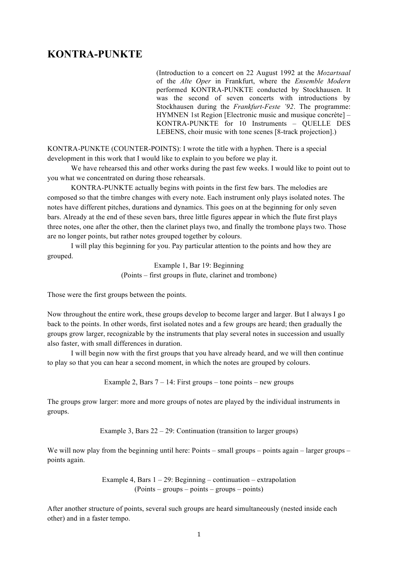## **KONTRA-PUNKTE**

(Introduction to a concert on 22 August 1992 at the *Mozartsaal* of the *Alte Oper* in Frankfurt, where the *Ensemble Modern* performed KONTRA-PUNKTE conducted by Stockhausen. It was the second of seven concerts with introductions by Stockhausen during the *Frankfurt-Feste '92*. The programme: HYMNEN 1st Region [Electronic music and musique concrète] – KONTRA-PUNKTE for 10 Instruments – QUELLE DES LEBENS, choir music with tone scenes [8-track projection].)

KONTRA-PUNKTE (COUNTER-POINTS): I wrote the title with a hyphen. There is a special development in this work that I would like to explain to you before we play it.

We have rehearsed this and other works during the past few weeks. I would like to point out to you what we concentrated on during those rehearsals.

KONTRA-PUNKTE actually begins with points in the first few bars. The melodies are composed so that the timbre changes with every note. Each instrument only plays isolated notes. The notes have different pitches, durations and dynamics. This goes on at the beginning for only seven bars. Already at the end of these seven bars, three little figures appear in which the flute first plays three notes, one after the other, then the clarinet plays two, and finally the trombone plays two. Those are no longer points, but rather notes grouped together by colours.

I will play this beginning for you. Pay particular attention to the points and how they are grouped.

> Example 1, Bar 19: Beginning (Points – first groups in flute, clarinet and trombone)

Those were the first groups between the points.

Now throughout the entire work, these groups develop to become larger and larger. But I always I go back to the points. In other words, first isolated notes and a few groups are heard; then gradually the groups grow larger, recognizable by the instruments that play several notes in succession and usually also faster, with small differences in duration.

I will begin now with the first groups that you have already heard, and we will then continue to play so that you can hear a second moment, in which the notes are grouped by colours.

Example 2, Bars  $7 - 14$ : First groups – tone points – new groups

The groups grow larger: more and more groups of notes are played by the individual instruments in groups.

Example 3, Bars  $22 - 29$ : Continuation (transition to larger groups)

We will now play from the beginning until here: Points – small groups – points again – larger groups – points again.

> Example 4, Bars  $1 - 29$ : Beginning – continuation – extrapolation (Points – groups – points – groups – points)

After another structure of points, several such groups are heard simultaneously (nested inside each other) and in a faster tempo.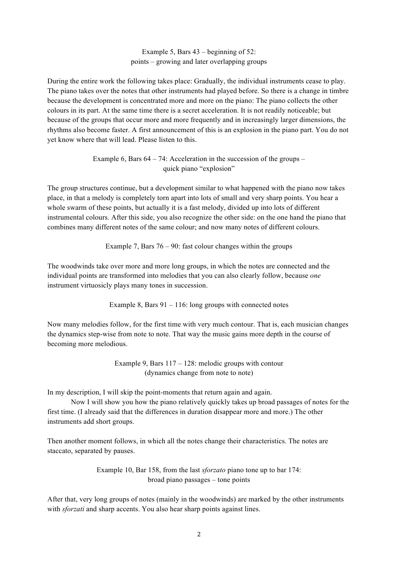## Example 5, Bars 43 – beginning of 52: points – growing and later overlapping groups

During the entire work the following takes place: Gradually, the individual instruments cease to play. The piano takes over the notes that other instruments had played before. So there is a change in timbre because the development is concentrated more and more on the piano: The piano collects the other colours in its part. At the same time there is a secret acceleration. It is not readily noticeable; but because of the groups that occur more and more frequently and in increasingly larger dimensions, the rhythms also become faster. A first announcement of this is an explosion in the piano part. You do not yet know where that will lead. Please listen to this.

> Example 6, Bars  $64 - 74$ : Acceleration in the succession of the groups – quick piano "explosion"

The group structures continue, but a development similar to what happened with the piano now takes place, in that a melody is completely torn apart into lots of small and very sharp points. You hear a whole swarm of these points, but actually it is a fast melody, divided up into lots of different instrumental colours. After this side, you also recognize the other side: on the one hand the piano that combines many different notes of the same colour; and now many notes of different colours.

Example 7, Bars  $76 - 90$ : fast colour changes within the groups

The woodwinds take over more and more long groups, in which the notes are connected and the individual points are transformed into melodies that you can also clearly follow, because *one* instrument virtuosicly plays many tones in succession.

Example 8, Bars 91 – 116: long groups with connected notes

Now many melodies follow, for the first time with very much contour. That is, each musician changes the dynamics step-wise from note to note. That way the music gains more depth in the course of becoming more melodious.

> Example 9, Bars 117 – 128: melodic groups with contour (dynamics change from note to note)

In my description, I will skip the point-moments that return again and again.

Now I will show you how the piano relatively quickly takes up broad passages of notes for the first time. (I already said that the differences in duration disappear more and more.) The other instruments add short groups.

Then another moment follows, in which all the notes change their characteristics. The notes are staccato, separated by pauses.

> Example 10, Bar 158, from the last *sforzato* piano tone up to bar 174: broad piano passages – tone points

After that, very long groups of notes (mainly in the woodwinds) are marked by the other instruments with *sforzati* and sharp accents. You also hear sharp points against lines.